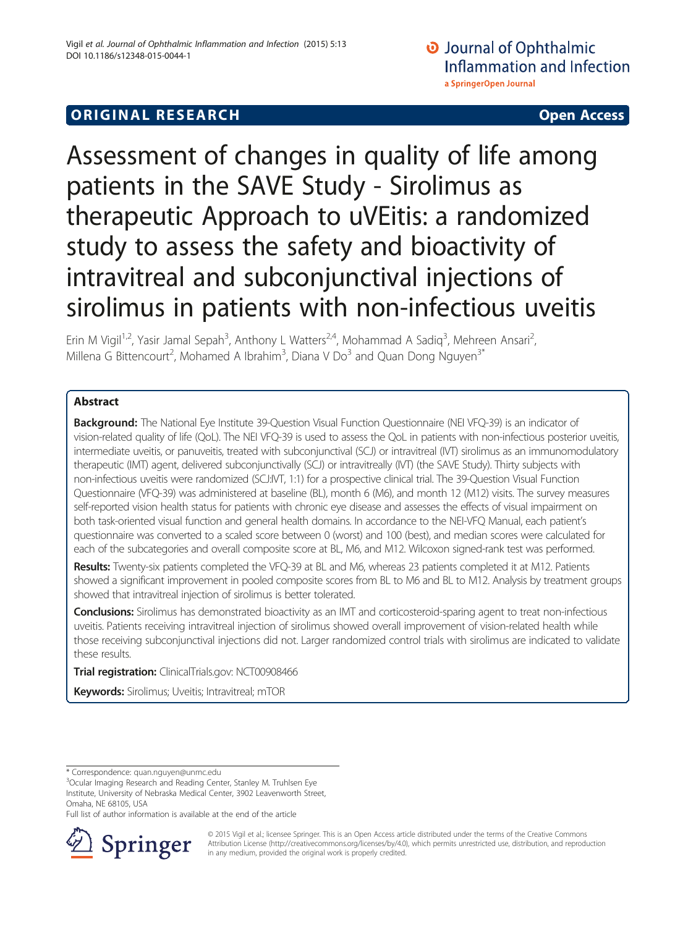# **ORIGINAL RESEARCH CONSUMING ACCESS**

Assessment of changes in quality of life among patients in the SAVE Study - Sirolimus as therapeutic Approach to uVEitis: a randomized study to assess the safety and bioactivity of intravitreal and subconjunctival injections of sirolimus in patients with non-infectious uveitis

Erin M Vigil<sup>1,2</sup>, Yasir Jamal Sepah<sup>3</sup>, Anthony L Watters<sup>2,4</sup>, Mohammad A Sadiq<sup>3</sup>, Mehreen Ansari<sup>2</sup> .<br>, Millena G Bittencourt<sup>2</sup>, Mohamed A Ibrahim<sup>3</sup>, Diana V Do<sup>3</sup> and Quan Dong Nguyen<sup>3\*</sup>

# Abstract

Background: The National Eye Institute 39-Question Visual Function Questionnaire (NEI VFQ-39) is an indicator of vision-related quality of life (QoL). The NEI VFQ-39 is used to assess the QoL in patients with non-infectious posterior uveitis, intermediate uveitis, or panuveitis, treated with subconjunctival (SCJ) or intravitreal (IVT) sirolimus as an immunomodulatory therapeutic (IMT) agent, delivered subconjunctivally (SCJ) or intravitreally (IVT) (the SAVE Study). Thirty subjects with non-infectious uveitis were randomized (SCJ:IVT, 1:1) for a prospective clinical trial. The 39-Question Visual Function Questionnaire (VFQ-39) was administered at baseline (BL), month 6 (M6), and month 12 (M12) visits. The survey measures self-reported vision health status for patients with chronic eye disease and assesses the effects of visual impairment on both task-oriented visual function and general health domains. In accordance to the NEI-VFQ Manual, each patient's questionnaire was converted to a scaled score between 0 (worst) and 100 (best), and median scores were calculated for each of the subcategories and overall composite score at BL, M6, and M12. Wilcoxon signed-rank test was performed.

Results: Twenty-six patients completed the VFQ-39 at BL and M6, whereas 23 patients completed it at M12. Patients showed a significant improvement in pooled composite scores from BL to M6 and BL to M12. Analysis by treatment groups showed that intravitreal injection of sirolimus is better tolerated.

Conclusions: Sirolimus has demonstrated bioactivity as an IMT and corticosteroid-sparing agent to treat non-infectious uveitis. Patients receiving intravitreal injection of sirolimus showed overall improvement of vision-related health while those receiving subconjunctival injections did not. Larger randomized control trials with sirolimus are indicated to validate these results.

Trial registration: ClinicalTrials.gov: [NCT00908466](https://clinicaltrials.gov/ct2/results?term=NCT00908466&Search=Search)

Keywords: Sirolimus; Uveitis; Intravitreal; mTOR

Full list of author information is available at the end of the article



© 2015 Vigil et al.; licensee Springer. This is an Open Access article distributed under the terms of the Creative Commons Attribution License [\(http://creativecommons.org/licenses/by/4.0\)](http://creativecommons.org/licenses/by/4.0), which permits unrestricted use, distribution, and reproduction in any medium, provided the original work is properly credited.

<sup>\*</sup> Correspondence: [quan.nguyen@unmc.edu](mailto:quan.nguyen@unmc.edu) <sup>3</sup>

<sup>&</sup>lt;sup>3</sup>Ocular Imaging Research and Reading Center, Stanley M. Truhlsen Eye Institute, University of Nebraska Medical Center, 3902 Leavenworth Street, Omaha, NE 68105, USA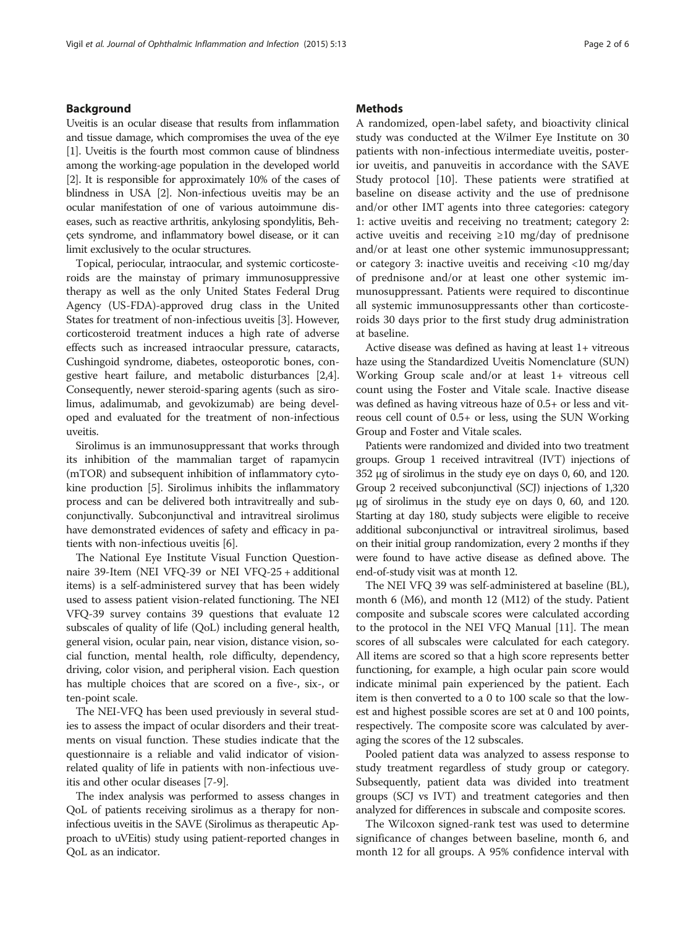## Background

Uveitis is an ocular disease that results from inflammation and tissue damage, which compromises the uvea of the eye [[1](#page-4-0)]. Uveitis is the fourth most common cause of blindness among the working-age population in the developed world [[2](#page-4-0)]. It is responsible for approximately 10% of the cases of blindness in USA [\[2](#page-4-0)]. Non-infectious uveitis may be an ocular manifestation of one of various autoimmune diseases, such as reactive arthritis, ankylosing spondylitis, Behçets syndrome, and inflammatory bowel disease, or it can limit exclusively to the ocular structures.

Topical, periocular, intraocular, and systemic corticosteroids are the mainstay of primary immunosuppressive therapy as well as the only United States Federal Drug Agency (US-FDA)-approved drug class in the United States for treatment of non-infectious uveitis [[3](#page-4-0)]. However, corticosteroid treatment induces a high rate of adverse effects such as increased intraocular pressure, cataracts, Cushingoid syndrome, diabetes, osteoporotic bones, congestive heart failure, and metabolic disturbances [[2](#page-4-0),[4](#page-4-0)]. Consequently, newer steroid-sparing agents (such as sirolimus, adalimumab, and gevokizumab) are being developed and evaluated for the treatment of non-infectious uveitis.

Sirolimus is an immunosuppressant that works through its inhibition of the mammalian target of rapamycin (mTOR) and subsequent inhibition of inflammatory cytokine production [\[5](#page-4-0)]. Sirolimus inhibits the inflammatory process and can be delivered both intravitreally and subconjunctivally. Subconjunctival and intravitreal sirolimus have demonstrated evidences of safety and efficacy in patients with non-infectious uveitis [[6](#page-4-0)].

The National Eye Institute Visual Function Questionnaire 39-Item (NEI VFQ-39 or NEI VFQ-25 + additional items) is a self-administered survey that has been widely used to assess patient vision-related functioning. The NEI VFQ-39 survey contains 39 questions that evaluate 12 subscales of quality of life (QoL) including general health, general vision, ocular pain, near vision, distance vision, social function, mental health, role difficulty, dependency, driving, color vision, and peripheral vision. Each question has multiple choices that are scored on a five-, six-, or ten-point scale.

The NEI-VFQ has been used previously in several studies to assess the impact of ocular disorders and their treatments on visual function. These studies indicate that the questionnaire is a reliable and valid indicator of visionrelated quality of life in patients with non-infectious uveitis and other ocular diseases [\[7](#page-4-0)-[9](#page-5-0)].

The index analysis was performed to assess changes in QoL of patients receiving sirolimus as a therapy for noninfectious uveitis in the SAVE (Sirolimus as therapeutic Approach to uVEitis) study using patient-reported changes in QoL as an indicator.

#### **Methods**

A randomized, open-label safety, and bioactivity clinical study was conducted at the Wilmer Eye Institute on 30 patients with non-infectious intermediate uveitis, posterior uveitis, and panuveitis in accordance with the SAVE Study protocol [\[10](#page-5-0)]. These patients were stratified at baseline on disease activity and the use of prednisone and/or other IMT agents into three categories: category 1: active uveitis and receiving no treatment; category 2: active uveitis and receiving ≥10 mg/day of prednisone and/or at least one other systemic immunosuppressant; or category 3: inactive uveitis and receiving <10 mg/day of prednisone and/or at least one other systemic immunosuppressant. Patients were required to discontinue all systemic immunosuppressants other than corticosteroids 30 days prior to the first study drug administration at baseline.

Active disease was defined as having at least 1+ vitreous haze using the Standardized Uveitis Nomenclature (SUN) Working Group scale and/or at least 1+ vitreous cell count using the Foster and Vitale scale. Inactive disease was defined as having vitreous haze of 0.5+ or less and vitreous cell count of 0.5+ or less, using the SUN Working Group and Foster and Vitale scales.

Patients were randomized and divided into two treatment groups. Group 1 received intravitreal (IVT) injections of 352 μg of sirolimus in the study eye on days 0, 60, and 120. Group 2 received subconjunctival (SCJ) injections of 1,320 μg of sirolimus in the study eye on days 0, 60, and 120. Starting at day 180, study subjects were eligible to receive additional subconjunctival or intravitreal sirolimus, based on their initial group randomization, every 2 months if they were found to have active disease as defined above. The end-of-study visit was at month 12.

The NEI VFQ 39 was self-administered at baseline (BL), month 6 (M6), and month 12 (M12) of the study. Patient composite and subscale scores were calculated according to the protocol in the NEI VFQ Manual [\[11\]](#page-5-0). The mean scores of all subscales were calculated for each category. All items are scored so that a high score represents better functioning, for example, a high ocular pain score would indicate minimal pain experienced by the patient. Each item is then converted to a 0 to 100 scale so that the lowest and highest possible scores are set at 0 and 100 points, respectively. The composite score was calculated by averaging the scores of the 12 subscales.

Pooled patient data was analyzed to assess response to study treatment regardless of study group or category. Subsequently, patient data was divided into treatment groups (SCJ vs IVT) and treatment categories and then analyzed for differences in subscale and composite scores.

The Wilcoxon signed-rank test was used to determine significance of changes between baseline, month 6, and month 12 for all groups. A 95% confidence interval with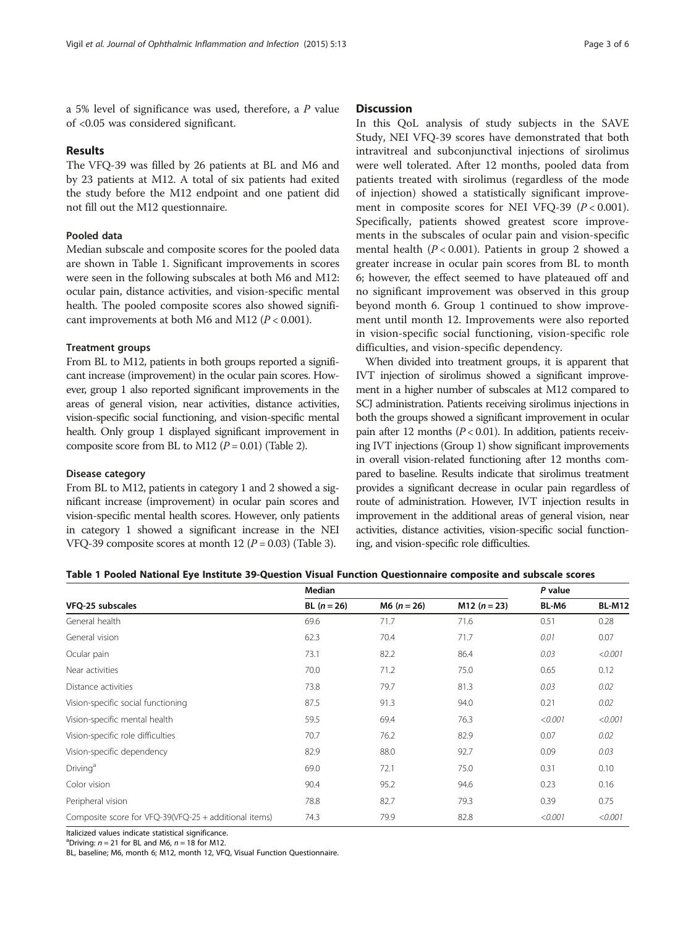a 5% level of significance was used, therefore, a P value of <0.05 was considered significant.

## Results

The VFQ-39 was filled by 26 patients at BL and M6 and by 23 patients at M12. A total of six patients had exited the study before the M12 endpoint and one patient did not fill out the M12 questionnaire.

# Pooled data

Median subscale and composite scores for the pooled data are shown in Table 1. Significant improvements in scores were seen in the following subscales at both M6 and M12: ocular pain, distance activities, and vision-specific mental health. The pooled composite scores also showed significant improvements at both M6 and M12 ( $P < 0.001$ ).

#### Treatment groups

From BL to M12, patients in both groups reported a significant increase (improvement) in the ocular pain scores. However, group 1 also reported significant improvements in the areas of general vision, near activities, distance activities, vision-specific social functioning, and vision-specific mental health. Only group 1 displayed significant improvement in composite score from BL to M12 ( $P = 0.01$ ) (Table [2](#page-3-0)).

#### Disease category

From BL to M12, patients in category 1 and 2 showed a significant increase (improvement) in ocular pain scores and vision-specific mental health scores. However, only patients in category 1 showed a significant increase in the NEI VFQ-39 composite scores at month 12 ( $P = 0.03$ ) (Table [3\)](#page-3-0).

### **Discussion**

In this QoL analysis of study subjects in the SAVE Study, NEI VFQ-39 scores have demonstrated that both intravitreal and subconjunctival injections of sirolimus were well tolerated. After 12 months, pooled data from patients treated with sirolimus (regardless of the mode of injection) showed a statistically significant improvement in composite scores for NEI VFQ-39  $(P < 0.001)$ . Specifically, patients showed greatest score improvements in the subscales of ocular pain and vision-specific mental health  $(P < 0.001)$ . Patients in group 2 showed a greater increase in ocular pain scores from BL to month 6; however, the effect seemed to have plateaued off and no significant improvement was observed in this group beyond month 6. Group 1 continued to show improvement until month 12. Improvements were also reported in vision-specific social functioning, vision-specific role difficulties, and vision-specific dependency.

When divided into treatment groups, it is apparent that IVT injection of sirolimus showed a significant improvement in a higher number of subscales at M12 compared to SCJ administration. Patients receiving sirolimus injections in both the groups showed a significant improvement in ocular pain after 12 months  $(P < 0.01)$ . In addition, patients receiving IVT injections (Group 1) show significant improvements in overall vision-related functioning after 12 months compared to baseline. Results indicate that sirolimus treatment provides a significant decrease in ocular pain regardless of route of administration. However, IVT injection results in improvement in the additional areas of general vision, near activities, distance activities, vision-specific social functioning, and vision-specific role difficulties.

|  |  | Table 1 Pooled National Eye Institute 39-Question Visual Function Questionnaire composite and subscale scores |  |  |  |  |
|--|--|---------------------------------------------------------------------------------------------------------------|--|--|--|--|
|--|--|---------------------------------------------------------------------------------------------------------------|--|--|--|--|

|                                                       | Median       | P value       |                |         |               |
|-------------------------------------------------------|--------------|---------------|----------------|---------|---------------|
| VFO-25 subscales                                      | $BL(n = 26)$ | $M6 (n = 26)$ | $M12 (n = 23)$ | BL-M6   | <b>BL-M12</b> |
| General health                                        | 69.6         | 71.7          | 71.6           | 0.51    | 0.28          |
| General vision                                        | 62.3         | 70.4          | 71.7           | 0.01    | 0.07          |
| Ocular pain                                           | 73.1         | 82.2          | 86.4           | 0.03    | < 0.001       |
| Near activities                                       | 70.0         | 71.2          | 75.0           | 0.65    | 0.12          |
| Distance activities                                   | 73.8         | 79.7          | 81.3           | 0.03    | 0.02          |
| Vision-specific social functioning                    | 87.5         | 91.3          | 94.0           | 0.21    | 0.02          |
| Vision-specific mental health                         | 59.5         | 69.4          | 76.3           | < 0.001 | < 0.001       |
| Vision-specific role difficulties                     | 70.7         | 76.2          | 82.9           | 0.07    | 0.02          |
| Vision-specific dependency                            | 82.9         | 88.0          | 92.7           | 0.09    | 0.03          |
| Driving <sup>a</sup>                                  | 69.0         | 72.1          | 75.0           | 0.31    | 0.10          |
| Color vision                                          | 90.4         | 95.2          | 94.6           | 0.23    | 0.16          |
| Peripheral vision                                     | 78.8         | 82.7          | 79.3           | 0.39    | 0.75          |
| Composite score for VFQ-39(VFQ-25 + additional items) | 74.3         | 79.9          | 82.8           | < 0.001 | < 0.001       |

Italicized values indicate statistical significance.

<sup>a</sup>Driving:  $n = 21$  for BL and M6,  $n = 18$  for M12.

BL, baseline; M6, month 6; M12, month 12, VFQ, Visual Function Questionnaire.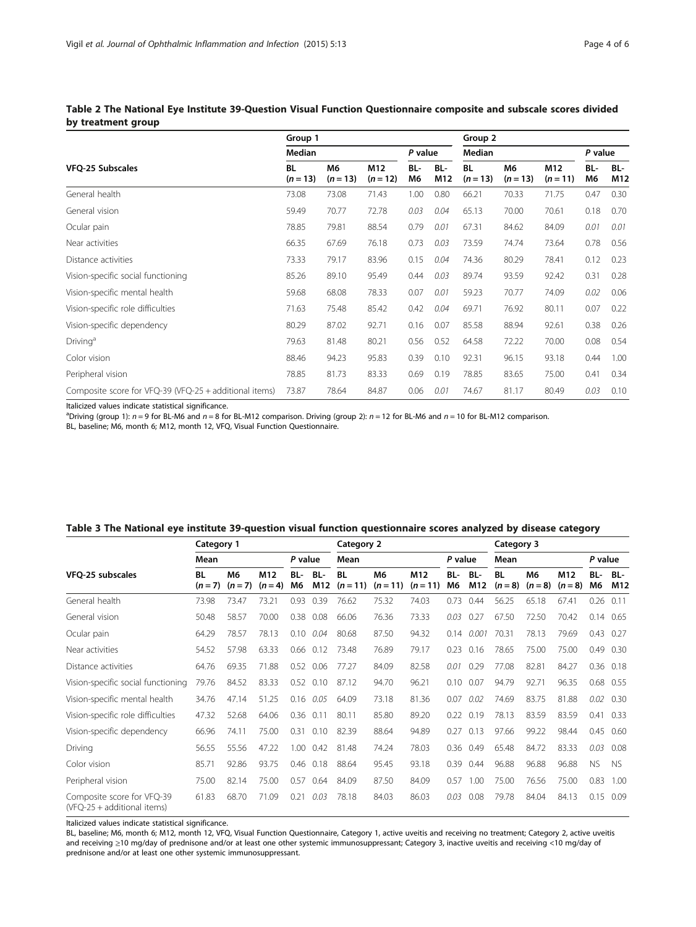|                                                        | Group 1                 |                  |                   |           |            |                         | Group 2                      |                   |           |            |  |  |
|--------------------------------------------------------|-------------------------|------------------|-------------------|-----------|------------|-------------------------|------------------------------|-------------------|-----------|------------|--|--|
|                                                        | Median                  |                  |                   |           | P value    | Median                  | P value                      |                   |           |            |  |  |
| VFQ-25 Subscales                                       | <b>BL</b><br>$(n = 13)$ | M6<br>$(n = 13)$ | M12<br>$(n = 12)$ | BL-<br>M6 | BL-<br>M12 | <b>BL</b><br>$(n = 13)$ | M <sub>6</sub><br>$(n = 13)$ | M12<br>$(n = 11)$ | BL-<br>M6 | BL-<br>M12 |  |  |
| General health                                         | 73.08                   | 73.08            | 71.43             | 1.00      | 0.80       | 66.21                   | 70.33                        | 71.75             | 0.47      | 0.30       |  |  |
| General vision                                         | 59.49                   | 70.77            | 72.78             | 0.03      | 0.04       | 65.13                   | 70.00                        | 70.61             | 0.18      | 0.70       |  |  |
| Ocular pain                                            | 78.85                   | 79.81            | 88.54             | 0.79      | 0.01       | 67.31                   | 84.62                        | 84.09             | 0.01      | 0.01       |  |  |
| Near activities                                        | 66.35                   | 67.69            | 76.18             | 0.73      | 0.03       | 73.59                   | 74.74                        | 73.64             | 0.78      | 0.56       |  |  |
| Distance activities                                    | 73.33                   | 79.17            | 83.96             | 0.15      | 0.04       | 74.36                   | 80.29                        | 78.41             | 0.12      | 0.23       |  |  |
| Vision-specific social functioning                     | 85.26                   | 89.10            | 95.49             | 0.44      | 0.03       | 89.74                   | 93.59                        | 92.42             | 0.31      | 0.28       |  |  |
| Vision-specific mental health                          | 59.68                   | 68.08            | 78.33             | 0.07      | 0.01       | 59.23                   | 70.77                        | 74.09             | 0.02      | 0.06       |  |  |
| Vision-specific role difficulties                      | 71.63                   | 75.48            | 85.42             | 0.42      | 0.04       | 69.71                   | 76.92                        | 80.11             | 0.07      | 0.22       |  |  |
| Vision-specific dependency                             | 80.29                   | 87.02            | 92.71             | 0.16      | 0.07       | 85.58                   | 88.94                        | 92.61             | 0.38      | 0.26       |  |  |
| Driving <sup>a</sup>                                   | 79.63                   | 81.48            | 80.21             | 0.56      | 0.52       | 64.58                   | 72.22                        | 70.00             | 0.08      | 0.54       |  |  |
| Color vision                                           | 88.46                   | 94.23            | 95.83             | 0.39      | 0.10       | 92.31                   | 96.15                        | 93.18             | 0.44      | 1.00       |  |  |
| Peripheral vision                                      | 78.85                   | 81.73            | 83.33             | 0.69      | 0.19       | 78.85                   | 83.65                        | 75.00             | 0.41      | 0.34       |  |  |
| Composite score for VFQ-39 (VFQ-25 + additional items) | 73.87                   | 78.64            | 84.87             | 0.06      | 0.01       | 74.67                   | 81.17                        | 80.49             | 0.03      | 0.10       |  |  |

## <span id="page-3-0"></span>Table 2 The National Eye Institute 39-Question Visual Function Questionnaire composite and subscale scores divided by treatment group

Italicized values indicate statistical significance.

<sup>a</sup>Driving (group 1):  $n = 9$  for BL-M6 and  $n = 8$  for BL-M12 comparison. Driving (group 2):  $n = 12$  for BL-M6 and  $n = 10$  for BL-M12 comparison.

BL, baseline; M6, month 6; M12, month 12, VFQ, Visual Function Questionnaire.

#### Table 3 The National eye institute 39-question visual function questionnaire scores analyzed by disease category

|                                                           | Category 1    |               |                  |                   |            | Category 2              |                              |                   |           | Category 3 |                        |               |                  |           |            |
|-----------------------------------------------------------|---------------|---------------|------------------|-------------------|------------|-------------------------|------------------------------|-------------------|-----------|------------|------------------------|---------------|------------------|-----------|------------|
|                                                           | Mean          |               |                  | P value           |            | Mean                    |                              |                   | P value   |            | Mean                   |               |                  | P value   |            |
| VFO-25 subscales                                          | BL<br>$(n=7)$ | M6<br>$(n=7)$ | M12<br>$(n = 4)$ | BL-<br>M6         | BL-<br>M12 | <b>BL</b><br>$(n = 11)$ | M <sub>6</sub><br>$(n = 11)$ | M12<br>$(n = 11)$ | BL-<br>M6 | BL-<br>M12 | <b>BL</b><br>$(n = 8)$ | M6<br>$(n=8)$ | M12<br>$(n = 8)$ | BL-<br>M6 | BL-<br>M12 |
| General health                                            | 73.98         | 73.47         | 73.21            | 0.93              | 0.39       | 76.62                   | 75.32                        | 74.03             | 0.73      | 0.44       | 56.25                  | 65.18         | 67.41            | 0.26      | 0.11       |
| General vision                                            | 50.48         | 58.57         | 70.00            | 0.38              | 0.08       | 66.06                   | 76.36                        | 73.33             | 0.03      | 0.27       | 67.50                  | 72.50         | 70.42            | 0.14      | 0.65       |
| Ocular pain                                               | 64.29         | 78.57         | 78.13            | 0.10              | 0.04       | 80.68                   | 87.50                        | 94.32             | 0.14      | 0.001      | 70.31                  | 78.13         | 79.69            | 0.43      | 0.27       |
| Near activities                                           | 54.52         | 57.98         | 63.33            | 0.66              | 0.12       | 73.48                   | 76.89                        | 79.17             | 0.23      | 0.16       | 78.65                  | 75.00         | 75.00            | 0.49      | 0.30       |
| Distance activities                                       | 64.76         | 69.35         | 71.88            | 0.52              | 0.06       | 77.27                   | 84.09                        | 82.58             | 0.01      | 0.29       | 77.08                  | 82.81         | 84.27            | 0.36      | 0.18       |
| Vision-specific social functioning                        | 79.76         | 84.52         | 83.33            | 0.52              | 0.10       | 87.12                   | 94.70                        | 96.21             | 0.10      | 0.07       | 94.79                  | 92.71         | 96.35            | 0.68      | 0.55       |
| Vision-specific mental health                             | 34.76         | 47.14         | 51.25            | 0.16              | 0.05       | 64.09                   | 73.18                        | 81.36             | 0.07      | 0.02       | 74.69                  | 83.75         | 81.88            | 0.02      | 0.30       |
| Vision-specific role difficulties                         | 47.32         | 52.68         | 64.06            | 0.36              | 0.11       | 80.11                   | 85.80                        | 89.20             | 0.22      | 0.19       | 78.13                  | 83.59         | 83.59            | 0.41      | 0.33       |
| Vision-specific dependency                                | 66.96         | 74.11         | 75.00            | 0.31              | 0.10       | 82.39                   | 88.64                        | 94.89             | 0.27      | 0.13       | 97.66                  | 99.22         | 98.44            | 0.45      | 0.60       |
| Driving                                                   | 56.55         | 55.56         | 47.22            | 1.00 <sub>1</sub> | 0.42       | 81.48                   | 74.24                        | 78.03             | 0.36      | 0.49       | 65.48                  | 84.72         | 83.33            | 0.03      | 0.08       |
| Color vision                                              | 85.71         | 92.86         | 93.75            | 0.46              | 0.18       | 88.64                   | 95.45                        | 93.18             | 0.39      | 0.44       | 96.88                  | 96.88         | 96.88            | <b>NS</b> | <b>NS</b>  |
| Peripheral vision                                         | 75.00         | 82.14         | 75.00            | 0.57              | 0.64       | 84.09                   | 87.50                        | 84.09             | 0.57      | 1.00       | 75.00                  | 76.56         | 75.00            | 0.83      | 1.00       |
| Composite score for VFQ-39<br>(VFQ-25 + additional items) | 61.83         | 68.70         | 71.09            | 0.21              | 0.03       | 78.18                   | 84.03                        | 86.03             | 0.03      | 0.08       | 79.78                  | 84.04         | 84.13            | 0.15      | 0.09       |

Italicized values indicate statistical significance.

BL, baseline; M6, month 6; M12, month 12, VFQ, Visual Function Questionnaire, Category 1, active uveitis and receiving no treatment; Category 2, active uveitis and receiving ≥10 mg/day of prednisone and/or at least one other systemic immunosuppressant; Category 3, inactive uveitis and receiving <10 mg/day of prednisone and/or at least one other systemic immunosuppressant.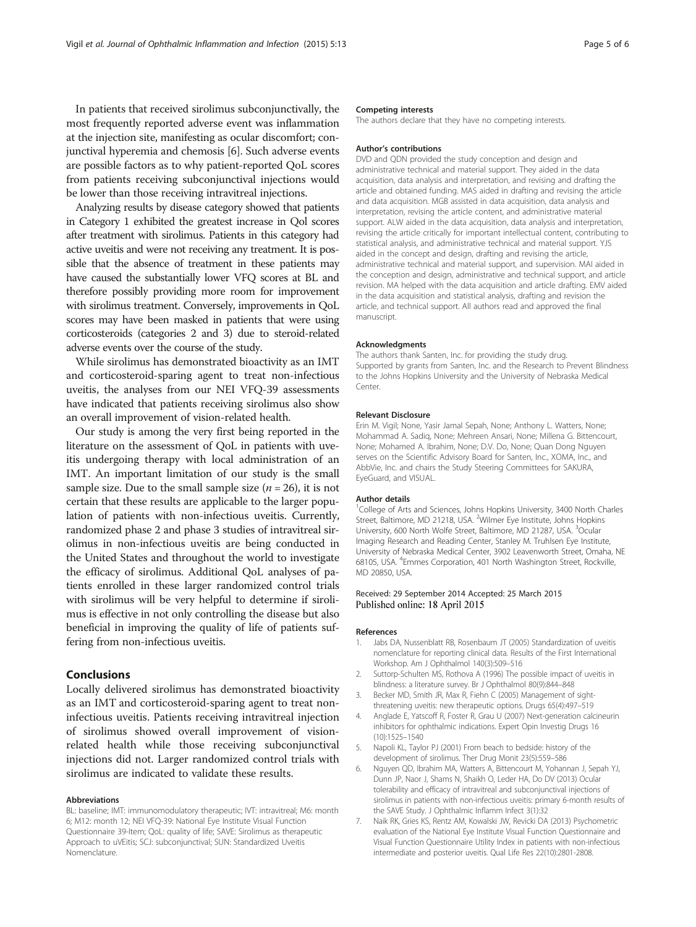<span id="page-4-0"></span>In patients that received sirolimus subconjunctivally, the most frequently reported adverse event was inflammation at the injection site, manifesting as ocular discomfort; conjunctival hyperemia and chemosis [6]. Such adverse events are possible factors as to why patient-reported QoL scores from patients receiving subconjunctival injections would be lower than those receiving intravitreal injections.

Analyzing results by disease category showed that patients in Category 1 exhibited the greatest increase in Qol scores after treatment with sirolimus. Patients in this category had active uveitis and were not receiving any treatment. It is possible that the absence of treatment in these patients may have caused the substantially lower VFQ scores at BL and therefore possibly providing more room for improvement with sirolimus treatment. Conversely, improvements in QoL scores may have been masked in patients that were using corticosteroids (categories 2 and 3) due to steroid-related adverse events over the course of the study.

While sirolimus has demonstrated bioactivity as an IMT and corticosteroid-sparing agent to treat non-infectious uveitis, the analyses from our NEI VFQ-39 assessments have indicated that patients receiving sirolimus also show an overall improvement of vision-related health.

Our study is among the very first being reported in the literature on the assessment of QoL in patients with uveitis undergoing therapy with local administration of an IMT. An important limitation of our study is the small sample size. Due to the small sample size  $(n = 26)$ , it is not certain that these results are applicable to the larger population of patients with non-infectious uveitis. Currently, randomized phase 2 and phase 3 studies of intravitreal sirolimus in non-infectious uveitis are being conducted in the United States and throughout the world to investigate the efficacy of sirolimus. Additional QoL analyses of patients enrolled in these larger randomized control trials with sirolimus will be very helpful to determine if sirolimus is effective in not only controlling the disease but also beneficial in improving the quality of life of patients suffering from non-infectious uveitis.

# Conclusions

Locally delivered sirolimus has demonstrated bioactivity as an IMT and corticosteroid-sparing agent to treat noninfectious uveitis. Patients receiving intravitreal injection of sirolimus showed overall improvement of visionrelated health while those receiving subconjunctival injections did not. Larger randomized control trials with sirolimus are indicated to validate these results.

#### Abbreviations

BL: baseline; IMT: immunomodulatory therapeutic; IVT: intravitreal; M6: month 6; M12: month 12; NEI VFQ-39: National Eye Institute Visual Function Questionnaire 39-Item; QoL: quality of life; SAVE: Sirolimus as therapeutic Approach to uVEitis; SCJ: subconjunctival; SUN: Standardized Uveitis Nomenclature.

The authors declare that they have no competing interests.

#### Author's contributions

DVD and QDN provided the study conception and design and administrative technical and material support. They aided in the data acquisition, data analysis and interpretation, and revising and drafting the article and obtained funding. MAS aided in drafting and revising the article and data acquisition. MGB assisted in data acquisition, data analysis and interpretation, revising the article content, and administrative material support. ALW aided in the data acquisition, data analysis and interpretation, revising the article critically for important intellectual content, contributing to statistical analysis, and administrative technical and material support. YJS aided in the concept and design, drafting and revising the article, administrative technical and material support, and supervision. MAI aided in the conception and design, administrative and technical support, and article revision. MA helped with the data acquisition and article drafting. EMV aided in the data acquisition and statistical analysis, drafting and revision the article, and technical support. All authors read and approved the final manuscript.

#### Acknowledgments

The authors thank Santen, Inc. for providing the study drug. Supported by grants from Santen, Inc. and the Research to Prevent Blindness to the Johns Hopkins University and the University of Nebraska Medical Center.

#### Relevant Disclosure

Erin M. Vigil; None, Yasir Jamal Sepah, None; Anthony L. Watters, None; Mohammad A. Sadiq, None; Mehreen Ansari, None; Millena G. Bittencourt, None; Mohamed A. Ibrahim, None; D.V. Do, None; Quan Dong Nguyen serves on the Scientific Advisory Board for Santen, Inc., XOMA, Inc., and AbbVie, Inc. and chairs the Study Steering Committees for SAKURA, EyeGuard, and VISUAL.

#### Author details

<sup>1</sup>College of Arts and Sciences, Johns Hopkins University, 3400 North Charles Street, Baltimore, MD 21218, USA. <sup>2</sup>Wilmer Eye Institute, Johns Hopkins University, 600 North Wolfe Street, Baltimore, MD 21287, USA. <sup>3</sup>Ocular Imaging Research and Reading Center, Stanley M. Truhlsen Eye Institute, University of Nebraska Medical Center, 3902 Leavenworth Street, Omaha, NE 68105, USA. <sup>4</sup>Emmes Corporation, 401 North Washington Street, Rockville, MD 20850, USA.

#### Received: 29 September 2014 Accepted: 25 March 2015 Published online: 18 April 2015

#### References

- 1. Jabs DA, Nussenblatt RB, Rosenbaum JT (2005) Standardization of uveitis nomenclature for reporting clinical data. Results of the First International Workshop. Am J Ophthalmol 140(3):509–516
- 2. Suttorp-Schulten MS, Rothova A (1996) The possible impact of uveitis in blindness: a literature survey. Br J Ophthalmol 80(9):844–848
- 3. Becker MD, Smith JR, Max R, Fiehn C (2005) Management of sightthreatening uveitis: new therapeutic options. Drugs 65(4):497–519
- 4. Anglade E, Yatscoff R, Foster R, Grau U (2007) Next-generation calcineurin inhibitors for ophthalmic indications. Expert Opin Investig Drugs 16 (10):1525–1540
- 5. Napoli KL, Taylor PJ (2001) From beach to bedside: history of the development of sirolimus. Ther Drug Monit 23(5):559–586
- 6. Nguyen QD, Ibrahim MA, Watters A, Bittencourt M, Yohannan J, Sepah YJ, Dunn JP, Naor J, Shams N, Shaikh O, Leder HA, Do DV (2013) Ocular tolerability and efficacy of intravitreal and subconjunctival injections of sirolimus in patients with non-infectious uveitis: primary 6-month results of the SAVE Study. J Ophthalmic Inflamm Infect 3(1):32
- 7. Naik RK, Gries KS, Rentz AM, Kowalski JW, Revicki DA (2013) Psychometric evaluation of the National Eye Institute Visual Function Questionnaire and Visual Function Questionnaire Utility Index in patients with non-infectious intermediate and posterior uveitis. Qual Life Res 22(10):2801-2808.